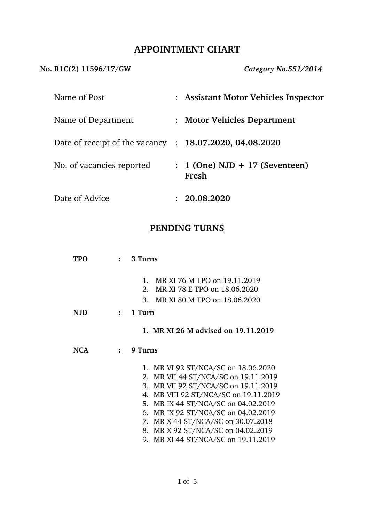# **APPOINTMENT CHART**

**No. R1C(2) 11596/17/GW** *Category No.551/2014*

| Name of Post                   |                | : Assistant Motor Vehicles Inspector      |
|--------------------------------|----------------|-------------------------------------------|
| Name of Department             | $\ddot{\cdot}$ | <b>Motor Vehicles Department</b>          |
| Date of receipt of the vacancy |                | : 18.07.2020, 04.08.2020                  |
| No. of vacancies reported      |                | $: 1$ (One) NJD + 17 (Seventeen)<br>Fresh |
| Date of Advice                 |                | 20.08.2020                                |

### **PENDING TURNS**

| <b>TPO</b> |              | 3 Turns                                                                                    |
|------------|--------------|--------------------------------------------------------------------------------------------|
|            |              | MR XI 76 M TPO on 19.11.2019<br>$\mathbf{1}_{\cdot}$<br>MR XI 78 E TPO on 18.06.2020<br>2. |
|            |              | MR XI 80 M TPO on 18.06.2020<br>3.                                                         |
| <b>NJD</b> | $\mathbf{r}$ | 1 Turn                                                                                     |
|            |              | 1. MR XI 26 M advised on 19.11.2019                                                        |
| <b>NCA</b> | $\cdot$ .    | 9 Turns                                                                                    |
|            |              | 1. MR VI 92 ST/NCA/SC on 18.06.2020                                                        |
|            |              | 2. MR VII 44 ST/NCA/SC on 19.11.2019                                                       |
|            |              | 3. MR VII 92 ST/NCA/SC on 19.11.2019                                                       |
|            |              | 4. MR VIII 92 ST/NCA/SC on 19.11.2019<br>MR IX 44 ST/NCA/SC on 04.02.2019<br>5.            |
|            |              | 6. MR IX 92 ST/NCA/SC on 04.02.2019                                                        |
|            |              | 7. MR X 44 ST/NCA/SC on 30.07.2018                                                         |
|            |              | 8. MR X 92 ST/NCA/SC on 04.02.2019                                                         |
|            |              | 9. MR XI 44 ST/NCA/SC on 19.11.2019                                                        |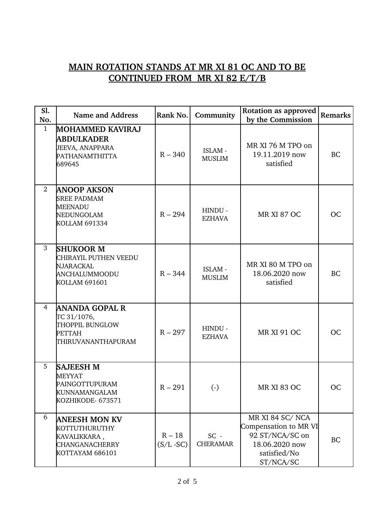# **MAIN ROTATION STANDS AT MR XI 81 OC AND TO BE CONTINUED FROM MR XI 82 E/T/B**

| Sl.<br>No.     | <b>Name and Address</b>                                                                          | Rank No.                 | Community                 | <b>Rotation as approved</b><br>by the Commission                                                           | Remarks   |
|----------------|--------------------------------------------------------------------------------------------------|--------------------------|---------------------------|------------------------------------------------------------------------------------------------------------|-----------|
| $\mathbf{1}$   | <b>MOHAMMED KAVIRAJ</b><br><b>ABDULKADER</b><br>JEEVA, ANAPPARA<br>PATHANAMTHITTA<br>689645      | $R - 340$                | ISLAM -<br><b>MUSLIM</b>  | MR XI 76 M TPO on<br>19.11.2019 now<br>satisfied                                                           | <b>BC</b> |
| $\overline{2}$ | <b>ANOOP AKSON</b><br><b>SREE PADMAM</b><br><b>MEENADU</b><br>NEDUNGOLAM<br>KOLLAM 691334        | $R - 294$                | HINDU -<br><b>EZHAVA</b>  | <b>MR XI 87 OC</b>                                                                                         | <b>OC</b> |
| 3              | <b>SHUKOOR M</b><br>CHIRAYIL PUTHEN VEEDU<br>NJARACKAL<br>ANCHALUMMOODU<br><b>KOLLAM 691601</b>  | $R - 344$                | ISLAM -<br><b>MUSLIM</b>  | MR XI 80 M TPO on<br>18.06.2020 now<br>satisfied                                                           | <b>BC</b> |
| $\overline{4}$ | ANANDA GOPAL R<br>TC 31/1076,<br>THOPPIL BUNGLOW<br><b>PETTAH</b><br><b>THIRUVANANTHAPURAM</b>   | $R - 297$                | HINDU -<br><b>EZHAVA</b>  | <b>MR XI 91 OC</b>                                                                                         | <b>OC</b> |
| 5              | <b>SAJEESH M</b><br><b>MEYYAT</b><br>PAINGOTTUPURAM<br><b>KUNNAMANGALAM</b><br>KOZHIKODE- 673571 | $R - 291$                | $\left( \cdot \right)$    | <b>MR XI 83 OC</b>                                                                                         | <b>OC</b> |
| 6              | <b>ANEESH MON KV</b><br>KOTTUTHURUTHY<br>KAVALIKKARA,<br>CHANGANACHERRY<br>KOTTAYAM 686101       | $R - 18$<br>$(S/L - SC)$ | $SC -$<br><b>CHERAMAR</b> | MR XI 84 SC/NCA<br>Compensation to MR VI<br>92 ST/NCA/SC on<br>18.06.2020 now<br>satisfied/No<br>ST/NCA/SC | <b>BC</b> |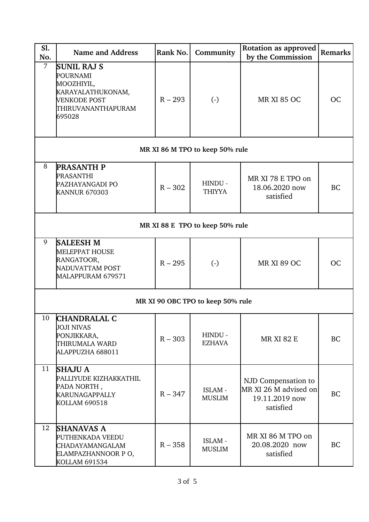| Sl.<br>No.     | <b>Name and Address</b>                                                                                           | Rank No.  | Community                       | Rotation as approved<br>by the Commission                                   | Remarks   |  |  |
|----------------|-------------------------------------------------------------------------------------------------------------------|-----------|---------------------------------|-----------------------------------------------------------------------------|-----------|--|--|
| $\overline{7}$ | <b>SUNIL RAJ S</b><br>POURNAMI<br>MOOZHIYIL,<br>KARAYALATHUKONAM,<br>VENKODE POST<br>THIRUVANANTHAPURAM<br>695028 | $R - 293$ | $\left( -\right)$               | <b>MR XI 85 OC</b>                                                          | <b>OC</b> |  |  |
|                |                                                                                                                   |           | MR XI 86 M TPO to keep 50% rule |                                                                             |           |  |  |
| 8              | <b>PRASANTH P</b><br>PRASANTHI<br>PAZHAYANGADI PO<br><b>KANNUR 670303</b>                                         | $R - 302$ | HINDU -<br><b>THIYYA</b>        | MR XI 78 E TPO on<br>18.06.2020 now<br>satisfied                            | <b>BC</b> |  |  |
|                | MR XI 88 E TPO to keep 50% rule                                                                                   |           |                                 |                                                                             |           |  |  |
| 9              | <b>SALEESH M</b><br><b>MELEPPAT HOUSE</b><br>RANGATOOR,<br>NADUVATTAM POST<br>MALAPPURAM 679571                   | $R - 295$ | $(-)$                           | <b>MR XI 89 OC</b>                                                          | <b>OC</b> |  |  |
|                | MR XI 90 OBC TPO to keep 50% rule                                                                                 |           |                                 |                                                                             |           |  |  |
| 10             | <b>CHANDRALAL C</b><br><b>JOJI NIVAS</b><br>PONJIKKARA,<br>THIRUMALA WARD<br>ALAPPUZHA 688011                     | $R - 303$ | HINDU -<br><b>EZHAVA</b>        | <b>MR XI 82 E</b>                                                           | <b>BC</b> |  |  |
| 11             | <b>SHAJU A</b><br>PALLIYUDE KIZHAKKATHIL<br>PADA NORTH,<br><b>KARUNAGAPPALLY</b><br><b>KOLLAM 690518</b>          | $R - 347$ | ISLAM -<br><b>MUSLIM</b>        | NJD Compensation to<br>MR XI 26 M advised on<br>19.11.2019 now<br>satisfied | <b>BC</b> |  |  |
| 12             | <b>SHANAVAS A</b><br>PUTHENKADA VEEDU<br>CHADAYAMANGALAM<br>ELAMPAZHANNOOR PO,<br>KOLLAM 691534                   | $R - 358$ | ISLAM -<br><b>MUSLIM</b>        | MR XI 86 M TPO on<br>20.08.2020 now<br>satisfied                            | <b>BC</b> |  |  |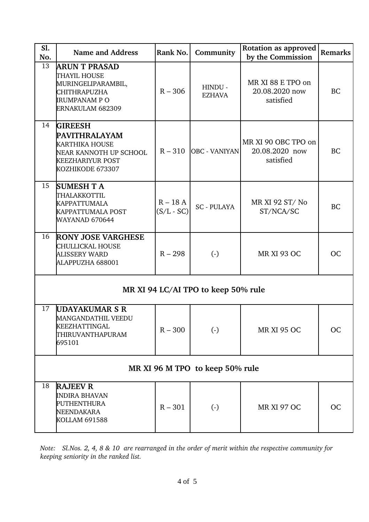| Sl.<br>No.                          | <b>Name and Address</b>                                                                                                                  | Rank No.                  | Community                | Rotation as approved<br>by the Commission          | Remarks   |  |  |
|-------------------------------------|------------------------------------------------------------------------------------------------------------------------------------------|---------------------------|--------------------------|----------------------------------------------------|-----------|--|--|
| 13                                  | <b>ARUN T PRASAD</b><br>THAYIL HOUSE<br>MURINGELIPARAMBIL,<br>CHITHRAPUZHA<br><b>IRUMPANAM P O</b><br>ERNAKULAM 682309                   | $R - 306$                 | HINDU -<br><b>EZHAVA</b> | MR XI 88 E TPO on<br>20.08.2020 now<br>satisfied   | <b>BC</b> |  |  |
| 14                                  | <b>GIREESH</b><br><b>PAVITHRALAYAM</b><br><b>KARTHIKA HOUSE</b><br>NEAR KANNOTH UP SCHOOL<br><b>KEEZHARIYUR POST</b><br>KOZHIKODE 673307 | $R - 310$                 | <b>OBC</b> - VANIYAN     | MR XI 90 OBC TPO on<br>20.08.2020 now<br>satisfied | <b>BC</b> |  |  |
| 15                                  | <b>SUMESH T A</b><br>THALAKKOTTIL<br><b>KAPPATTUMALA</b><br><b>KAPPATTUMALA POST</b><br>WAYANAD 670644                                   | $R - 18A$<br>$(S/L - SC)$ | <b>SC-PULAYA</b>         | MR XI 92 ST/No<br>ST/NCA/SC                        | <b>BC</b> |  |  |
| 16                                  | <b>RONY JOSE VARGHESE</b><br>CHULLICKAL HOUSE<br>ALISSERY WARD<br>ALAPPUZHA 688001                                                       | $R - 298$                 | $(-)$                    | <b>MR XI 93 OC</b>                                 | OC        |  |  |
| MR XI 94 LC/AI TPO to keep 50% rule |                                                                                                                                          |                           |                          |                                                    |           |  |  |
| 17                                  | <b>UDAYAKUMAR S R</b><br>MANGANDATHIL VEEDU<br><b>KEEZHATTINGAL</b><br>THIRUVANTHAPURAM<br>695101                                        | $R - 300$                 | $(-)$                    | <b>MR XI 95 OC</b>                                 | <b>OC</b> |  |  |
| MR XI 96 M TPO to keep 50% rule     |                                                                                                                                          |                           |                          |                                                    |           |  |  |
| 18                                  | <b>RAJEEV R</b><br><b>INDIRA BHAVAN</b><br>PUTHENTHURA<br>NEENDAKARA<br><b>KOLLAM 691588</b>                                             | $R - 301$                 | $\left( \cdot \right)$   | <b>MR XI 97 OC</b>                                 | <b>OC</b> |  |  |

*Note: Sl.Nos. 2, 4, 8 & 10 are rearranged in the order of merit within the respective community for keeping seniority in the ranked list.*